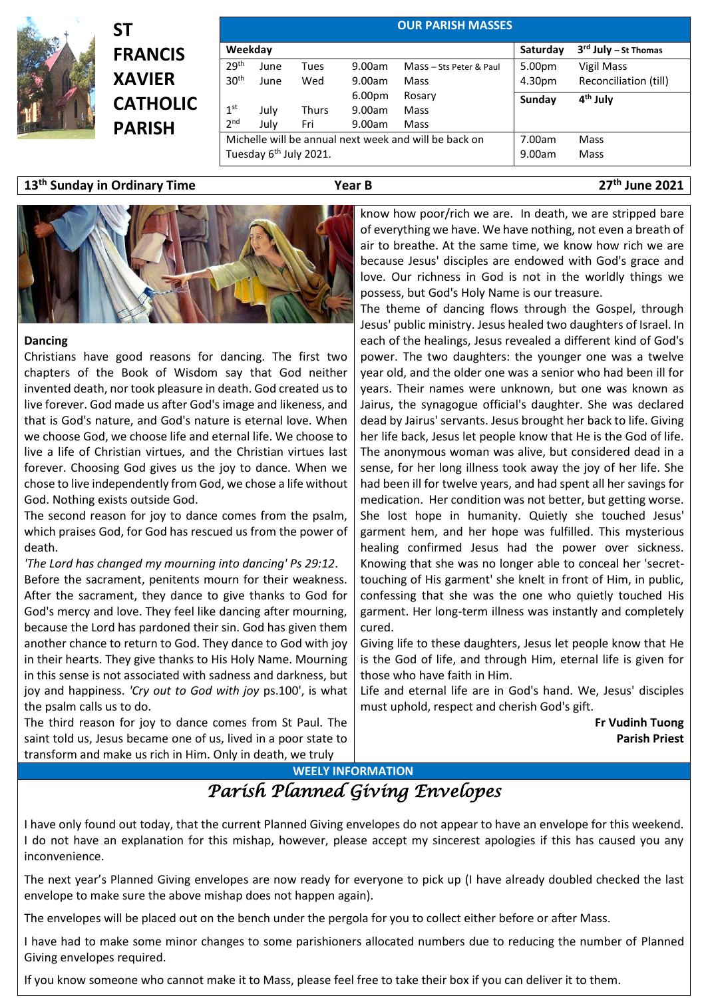

**ST FRANCIS XAVIER CATHOLIC PARISH**

| <b>OUR PARISH MASSES</b>                              |      |       |                    |                         |          |                        |  |
|-------------------------------------------------------|------|-------|--------------------|-------------------------|----------|------------------------|--|
| Weekday                                               |      |       |                    |                         | Saturday | $3rd$ July – St Thomas |  |
| 29 <sup>th</sup>                                      | June | Tues  | 9.00am             | Mass - Sts Peter & Paul | 5.00pm   | Vigil Mass             |  |
| 30 <sup>th</sup>                                      | June | Wed   | 9.00am             | Mass                    | 4.30pm   | Reconciliation (till)  |  |
|                                                       |      |       | 6.00 <sub>pm</sub> | Rosary                  | Sunday   | 4 <sup>th</sup> July   |  |
| 1 <sup>st</sup>                                       | July | Thurs | 9.00am             | Mass                    |          |                        |  |
| 2 <sub>nd</sub>                                       | July | Fri   | 9.00am             | Mass                    |          |                        |  |
| Michelle will be annual next week and will be back on |      |       |                    |                         | 7.00am   | Mass                   |  |
| Tuesday 6 <sup>th</sup> July 2021.                    |      |       |                    |                         | 9.00am   | Mass                   |  |

**13 th Sunday in Ordinary Time Year B 27**

**th June 2021**



## **Dancing**

Christians have good reasons for dancing. The first two chapters of the Book of Wisdom say that God neither invented death, nor took pleasure in death. God created us to live forever. God made us after God's image and likeness, and that is God's nature, and God's nature is eternal love. When we choose God, we choose life and eternal life. We choose to live a life of Christian virtues, and the Christian virtues last forever. Choosing God gives us the joy to dance. When we chose to live independently from God, we chose a life without God. Nothing exists outside God.

The second reason for joy to dance comes from the psalm, which praises God, for God has rescued us from the power of death.

*'The Lord has changed my mourning into dancing' Ps 29:12*. Before the sacrament, penitents mourn for their weakness. After the sacrament, they dance to give thanks to God for God's mercy and love. They feel like dancing after mourning, because the Lord has pardoned their sin. God has given them another chance to return to God. They dance to God with joy in their hearts. They give thanks to His Holy Name. Mourning in this sense is not associated with sadness and darkness, but joy and happiness. *'Cry out to God with joy* ps.100', is what the psalm calls us to do.

The third reason for joy to dance comes from St Paul. The saint told us, Jesus became one of us, lived in a poor state to transform and make us rich in Him. Only in death, we truly

know how poor/rich we are. In death, we are stripped bare of everything we have. We have nothing, not even a breath of air to breathe. At the same time, we know how rich we are because Jesus' disciples are endowed with God's grace and love. Our richness in God is not in the worldly things we possess, but God's Holy Name is our treasure.

The theme of dancing flows through the Gospel, through Jesus' public ministry. Jesus healed two daughters of Israel. In each of the healings, Jesus revealed a different kind of God's power. The two daughters: the younger one was a twelve year old, and the older one was a senior who had been ill for years. Their names were unknown, but one was known as Jairus, the synagogue official's daughter. She was declared dead by Jairus' servants. Jesus brought her back to life. Giving her life back, Jesus let people know that He is the God of life. The anonymous woman was alive, but considered dead in a sense, for her long illness took away the joy of her life. She had been ill for twelve years, and had spent all her savings for medication. Her condition was not better, but getting worse. She lost hope in humanity. Quietly she touched Jesus' garment hem, and her hope was fulfilled. This mysterious healing confirmed Jesus had the power over sickness. Knowing that she was no longer able to conceal her 'secrettouching of His garment' she knelt in front of Him, in public, confessing that she was the one who quietly touched His garment. Her long-term illness was instantly and completely cured.

Giving life to these daughters, Jesus let people know that He is the God of life, and through Him, eternal life is given for those who have faith in Him.

Life and eternal life are in God's hand. We, Jesus' disciples must uphold, respect and cherish God's gift.

> **Fr Vudinh Tuong Parish Priest**

**WEELY INFORMATION**

*Parish Planned Giving Envelopes* 

I have only found out today, that the current Planned Giving envelopes do not appear to have an envelope for this weekend. I do not have an explanation for this mishap, however, please accept my sincerest apologies if this has caused you any inconvenience.

The next year's Planned Giving envelopes are now ready for everyone to pick up (I have already doubled checked the last envelope to make sure the above mishap does not happen again).

The envelopes will be placed out on the bench under the pergola for you to collect either before or after Mass.

I have had to make some minor changes to some parishioners allocated numbers due to reducing the number of Planned Giving envelopes required.

If you know someone who cannot make it to Mass, please feel free to take their box if you can deliver it to them.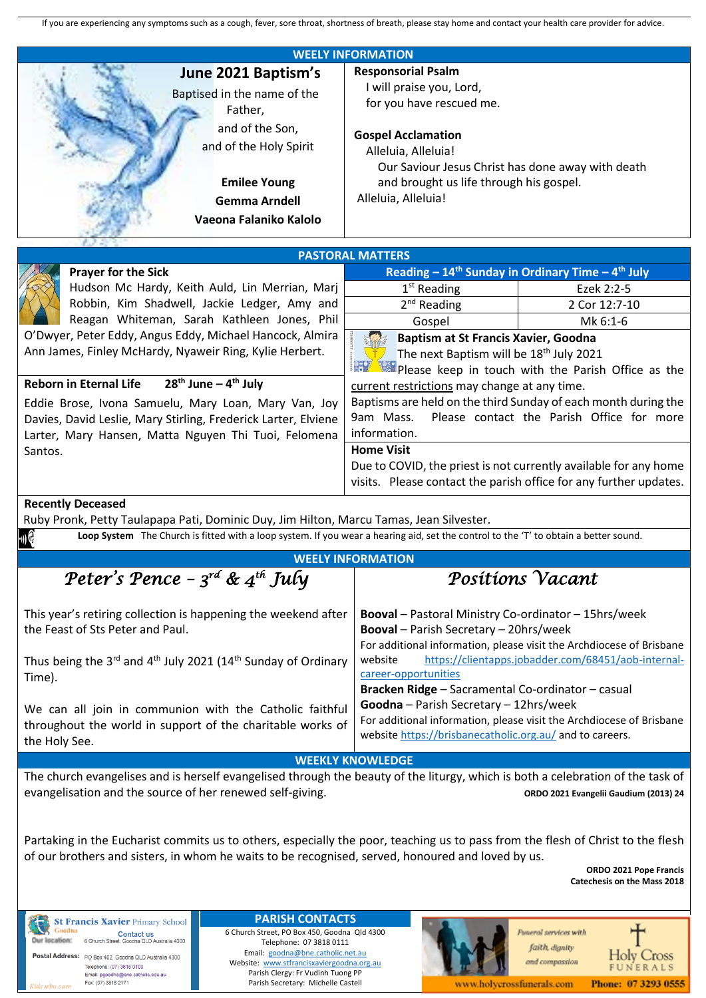| If you are experiencing any symptoms such as a cough, fever, sore throat, shortness of breath, please stay home and contact your health care provider for advice.                                                               |                                                                                                    |                  |  |  |  |  |  |
|---------------------------------------------------------------------------------------------------------------------------------------------------------------------------------------------------------------------------------|----------------------------------------------------------------------------------------------------|------------------|--|--|--|--|--|
| <b>WEELY INFORMATION</b>                                                                                                                                                                                                        |                                                                                                    |                  |  |  |  |  |  |
| June 2021 Baptism's                                                                                                                                                                                                             | <b>Responsorial Psalm</b>                                                                          |                  |  |  |  |  |  |
|                                                                                                                                                                                                                                 | I will praise you, Lord,                                                                           |                  |  |  |  |  |  |
| Baptised in the name of the                                                                                                                                                                                                     | for you have rescued me.                                                                           |                  |  |  |  |  |  |
| Father,                                                                                                                                                                                                                         |                                                                                                    |                  |  |  |  |  |  |
| and of the Son,                                                                                                                                                                                                                 | <b>Gospel Acclamation</b>                                                                          |                  |  |  |  |  |  |
| and of the Holy Spirit                                                                                                                                                                                                          | Alleluia, Alleluia!                                                                                |                  |  |  |  |  |  |
|                                                                                                                                                                                                                                 |                                                                                                    |                  |  |  |  |  |  |
|                                                                                                                                                                                                                                 | Our Saviour Jesus Christ has done away with death<br>and brought us life through his gospel.       |                  |  |  |  |  |  |
| <b>Emilee Young</b>                                                                                                                                                                                                             |                                                                                                    |                  |  |  |  |  |  |
| <b>Gemma Arndell</b>                                                                                                                                                                                                            | Alleluia, Alleluia!                                                                                |                  |  |  |  |  |  |
| Vaeona Falaniko Kalolo                                                                                                                                                                                                          |                                                                                                    |                  |  |  |  |  |  |
|                                                                                                                                                                                                                                 |                                                                                                    |                  |  |  |  |  |  |
|                                                                                                                                                                                                                                 | <b>PASTORAL MATTERS</b>                                                                            |                  |  |  |  |  |  |
| <b>Prayer for the Sick</b>                                                                                                                                                                                                      | Reading – $14th$ Sunday in Ordinary Time – $4th$ July                                              |                  |  |  |  |  |  |
| Hudson Mc Hardy, Keith Auld, Lin Merrian, Marj                                                                                                                                                                                  | $1st$ Reading                                                                                      | Ezek 2:2-5       |  |  |  |  |  |
| Robbin, Kim Shadwell, Jackie Ledger, Amy and                                                                                                                                                                                    | $2nd$ Reading                                                                                      | 2 Cor 12:7-10    |  |  |  |  |  |
| Reagan Whiteman, Sarah Kathleen Jones, Phil                                                                                                                                                                                     | Gospel                                                                                             | Mk 6:1-6         |  |  |  |  |  |
| O'Dwyer, Peter Eddy, Angus Eddy, Michael Hancock, Almira                                                                                                                                                                        | Baptism at St Francis Xavier, Goodna                                                               |                  |  |  |  |  |  |
| Ann James, Finley McHardy, Nyaweir Ring, Kylie Herbert.                                                                                                                                                                         | The next Baptism will be 18 <sup>th</sup> July 2021                                                |                  |  |  |  |  |  |
|                                                                                                                                                                                                                                 | Please keep in touch with the Parish Office as the                                                 |                  |  |  |  |  |  |
| $28^{th}$ June – $4^{th}$ July<br><b>Reborn in Eternal Life</b>                                                                                                                                                                 | current restrictions may change at any time.                                                       |                  |  |  |  |  |  |
| Eddie Brose, Ivona Samuelu, Mary Loan, Mary Van, Joy                                                                                                                                                                            | Baptisms are held on the third Sunday of each month during the                                     |                  |  |  |  |  |  |
| Davies, David Leslie, Mary Stirling, Frederick Larter, Elviene                                                                                                                                                                  | 9am Mass.<br>Please contact the Parish Office for more                                             |                  |  |  |  |  |  |
| Larter, Mary Hansen, Matta Nguyen Thi Tuoi, Felomena                                                                                                                                                                            | information.                                                                                       |                  |  |  |  |  |  |
| Santos.                                                                                                                                                                                                                         | <b>Home Visit</b>                                                                                  |                  |  |  |  |  |  |
|                                                                                                                                                                                                                                 | Due to COVID, the priest is not currently available for any home                                   |                  |  |  |  |  |  |
|                                                                                                                                                                                                                                 | visits. Please contact the parish office for any further updates.                                  |                  |  |  |  |  |  |
|                                                                                                                                                                                                                                 |                                                                                                    |                  |  |  |  |  |  |
| <b>Recently Deceased</b>                                                                                                                                                                                                        |                                                                                                    |                  |  |  |  |  |  |
| Ruby Pronk, Petty Taulapapa Pati, Dominic Duy, Jim Hilton, Marcu Tamas, Jean Silvester.<br>Loop System The Church is fitted with a loop system. If you wear a hearing aid, set the control to the 'T' to obtain a better sound. |                                                                                                    |                  |  |  |  |  |  |
| $\mathbf{u}(\mathbf{r})$                                                                                                                                                                                                        |                                                                                                    |                  |  |  |  |  |  |
|                                                                                                                                                                                                                                 | <b>WEELY INFORMATION</b>                                                                           |                  |  |  |  |  |  |
| Peter's Pence - $3^{rd}$ & $4^{th}$ July                                                                                                                                                                                        |                                                                                                    | Posítíons Vacant |  |  |  |  |  |
|                                                                                                                                                                                                                                 |                                                                                                    |                  |  |  |  |  |  |
| This year's retiring collection is happening the weekend after                                                                                                                                                                  | <b>Booval</b> – Pastoral Ministry Co-ordinator – 15hrs/week                                        |                  |  |  |  |  |  |
| the Feast of Sts Peter and Paul.                                                                                                                                                                                                | Booval - Parish Secretary - 20hrs/week                                                             |                  |  |  |  |  |  |
|                                                                                                                                                                                                                                 | For additional information, please visit the Archdiocese of Brisbane                               |                  |  |  |  |  |  |
| Thus being the 3rd and 4 <sup>th</sup> July 2021 (14 <sup>th</sup> Sunday of Ordinary                                                                                                                                           | https://clientapps.jobadder.com/68451/aob-internal-<br>website                                     |                  |  |  |  |  |  |
| Time).                                                                                                                                                                                                                          | career-opportunities                                                                               |                  |  |  |  |  |  |
|                                                                                                                                                                                                                                 | Bracken Ridge - Sacramental Co-ordinator - casual                                                  |                  |  |  |  |  |  |
| We can all join in communion with the Catholic faithful                                                                                                                                                                         | Goodna - Parish Secretary - 12hrs/week                                                             |                  |  |  |  |  |  |
| throughout the world in support of the charitable works of                                                                                                                                                                      | For additional information, please visit the Archdiocese of Brisbane                               |                  |  |  |  |  |  |
|                                                                                                                                                                                                                                 | website https://brisbanecatholic.org.au/ and to careers.                                           |                  |  |  |  |  |  |
| the Holy See.                                                                                                                                                                                                                   |                                                                                                    |                  |  |  |  |  |  |
| <b>WEEKLY KNOWLEDGE</b>                                                                                                                                                                                                         |                                                                                                    |                  |  |  |  |  |  |
| The church evangelises and is herself evangelised through the beauty of the liturgy, which is both a celebration of the task of                                                                                                 |                                                                                                    |                  |  |  |  |  |  |
|                                                                                                                                                                                                                                 | evangelisation and the source of her renewed self-giving.<br>ORDO 2021 Evangelii Gaudium (2013) 24 |                  |  |  |  |  |  |
|                                                                                                                                                                                                                                 |                                                                                                    |                  |  |  |  |  |  |
|                                                                                                                                                                                                                                 |                                                                                                    |                  |  |  |  |  |  |
| Partaking in the Eucharist commits us to others, especially the poor, teaching us to pass from the flesh of Christ to the flesh                                                                                                 |                                                                                                    |                  |  |  |  |  |  |
| of our brothers and sisters, in whom he waits to be recognised, served, honoured and loved by us.<br>ORDO 2021 Pope Francis                                                                                                     |                                                                                                    |                  |  |  |  |  |  |
| <b>Catechesis on the Mass 2018</b>                                                                                                                                                                                              |                                                                                                    |                  |  |  |  |  |  |
|                                                                                                                                                                                                                                 |                                                                                                    |                  |  |  |  |  |  |
| <b>PARISH CONTACTS</b>                                                                                                                                                                                                          |                                                                                                    |                  |  |  |  |  |  |
| <b>St Francis Xavier Primary School</b><br>6 Church Street, PO Box 450, Goodna Old 4300                                                                                                                                         |                                                                                                    |                  |  |  |  |  |  |

**Agriculture Contact us**<br> **Contact us** 6 Church Street, Goodna QLD Australia 4300 **Postal Address:** PO Box 402, Goodna QLD Australia 4300<br>Telephone: (07) 3818 0100<br>*Kids wbo care* Fax: (07) 3818 2171

**PARISH CONTACTS**<br>6 Church Street, PO Box 450, Goodna Qld 4300 Telephone: 07 3818 0111<br>Telephone: 07 3818 0111<br>Email: goodna@bne.catholic.net.au Website: www.stfrancisxaviergoodna.org.au<br>Parish Clergy: Fr Vudinh Tuong PP<br>Parish Secretary: Michelle Castell



**Funeral services with** faith, dignity and compassion



www.holycrossfunerals.com

Phone: 07 3293 0555